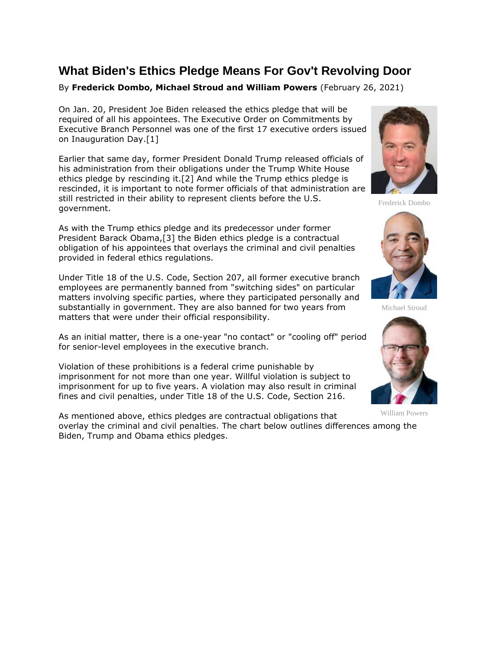## **What Biden's Ethics Pledge Means For Gov't Revolving Door**

By **Frederick Dombo, Michael Stroud and William Powers** (February 26, 2021)

On Jan. 20, President Joe Biden released the ethics pledge that will be required of all his appointees. The Executive Order on Commitments by Executive Branch Personnel was one of the first 17 executive orders issued on Inauguration Day.[1]

Earlier that same day, former President Donald Trump released officials of his administration from their obligations under the Trump White House ethics pledge by rescinding it.[2] And while the Trump ethics pledge is rescinded, it is important to note former officials of that administration are still restricted in their ability to represent clients before the U.S. government.

As with the Trump ethics pledge and its predecessor under former President Barack Obama,[3] the Biden ethics pledge is a contractual obligation of his appointees that overlays the criminal and civil penalties provided in federal ethics regulations.

Under Title 18 of the U.S. Code, Section 207, all former executive branch employees are permanently banned from "switching sides" on particular matters involving specific parties, where they participated personally and substantially in government. They are also banned for two years from matters that were under their official responsibility.

As an initial matter, there is a one-year "no contact" or "cooling off" period for senior-level employees in the executive branch.

Violation of these prohibitions is a federal crime punishable by imprisonment for not more than one year. Willful violation is subject to imprisonment for up to five years. A violation may also result in criminal fines and civil penalties, under Title 18 of the U.S. Code, Section 216.

As mentioned above, ethics pledges are contractual obligations that overlay the criminal and civil penalties. The chart below outlines differences among the Biden, Trump and Obama ethics pledges.



Frederick Dombo



Michael Stroud



William Powers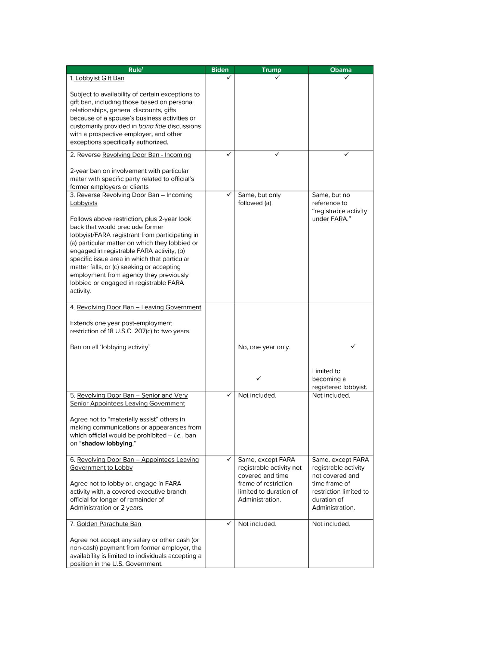| Rule <sup>1</sup>                                                                                                                                                                                                                                                                                                                                                                                                                                                                      | <b>Biden</b> | <b>Trump</b>                                                      | <b>Obama</b>                                                              |
|----------------------------------------------------------------------------------------------------------------------------------------------------------------------------------------------------------------------------------------------------------------------------------------------------------------------------------------------------------------------------------------------------------------------------------------------------------------------------------------|--------------|-------------------------------------------------------------------|---------------------------------------------------------------------------|
| 1. Lobbyist Gift Ban                                                                                                                                                                                                                                                                                                                                                                                                                                                                   |              |                                                                   |                                                                           |
| Subject to availability of certain exceptions to<br>gift ban, including those based on personal<br>relationships, general discounts, gifts<br>because of a spouse's business activities or<br>customarily provided in bona fide discussions<br>with a prospective employer, and other<br>exceptions specifically authorized.                                                                                                                                                           |              |                                                                   |                                                                           |
| 2. Reverse Revolving Door Ban - Incoming                                                                                                                                                                                                                                                                                                                                                                                                                                               | ✓            | ✓                                                                 |                                                                           |
| 2-year ban on involvement with particular<br>mater with specific party related to official's<br>former employers or clients                                                                                                                                                                                                                                                                                                                                                            |              |                                                                   |                                                                           |
| 3. Reverse Revolving Door Ban - Incoming<br>Lobbyists<br>Follows above restriction, plus 2-year look<br>back that would preclude former<br>lobbyist/FARA registrant from participating in<br>(a) particular matter on which they lobbied or<br>engaged in registrable FARA activity, (b)<br>specific issue area in which that particular<br>matter falls, or (c) seeking or accepting<br>employment from agency they previously<br>lobbied or engaged in registrable FARA<br>activity. | $\checkmark$ | Same, but only<br>followed (a).                                   | Same, but no<br>reference to<br>"registrable activity<br>under FARA."     |
| 4. Revolving Door Ban - Leaving Government                                                                                                                                                                                                                                                                                                                                                                                                                                             |              |                                                                   |                                                                           |
| Extends one year post-employment<br>restriction of 18 U.S.C. 207(c) to two years.                                                                                                                                                                                                                                                                                                                                                                                                      |              |                                                                   |                                                                           |
| Ban on all 'lobbying activity'                                                                                                                                                                                                                                                                                                                                                                                                                                                         |              | No, one year only.                                                |                                                                           |
|                                                                                                                                                                                                                                                                                                                                                                                                                                                                                        |              |                                                                   | Limited to<br>becoming a<br>registered lobbyist.                          |
| 5. Revolving Door Ban - Senior and Very<br><b>Senior Appointees Leaving Government</b>                                                                                                                                                                                                                                                                                                                                                                                                 | $\checkmark$ | Not included.                                                     | Not included.                                                             |
| Agree not to "materially assist" others in<br>making communications or appearances from<br>which official would be prohibited $-$ <i>i.e.</i> , ban<br>on "shadow lobbying."                                                                                                                                                                                                                                                                                                           |              |                                                                   |                                                                           |
| 6. Revolving Door Ban - Appointees Leaving<br>Government to Lobby                                                                                                                                                                                                                                                                                                                                                                                                                      | $\checkmark$ | Same, except FARA<br>registrable activity not<br>covered and time | Same, except FARA<br>registrable activity<br>not covered and              |
| Agree not to lobby or, engage in FARA<br>activity with, a covered executive branch<br>official for longer of remainder of<br>Administration or 2 years.                                                                                                                                                                                                                                                                                                                                |              | frame of restriction<br>limited to duration of<br>Administration. | time frame of<br>restriction limited to<br>duration of<br>Administration. |
| 7. Golden Parachute Ban                                                                                                                                                                                                                                                                                                                                                                                                                                                                | $\checkmark$ | Not included.                                                     | Not included.                                                             |
| Agree not accept any salary or other cash (or<br>non-cash) payment from former employer, the<br>availability is limited to individuals accepting a<br>position in the U.S. Government.                                                                                                                                                                                                                                                                                                 |              |                                                                   |                                                                           |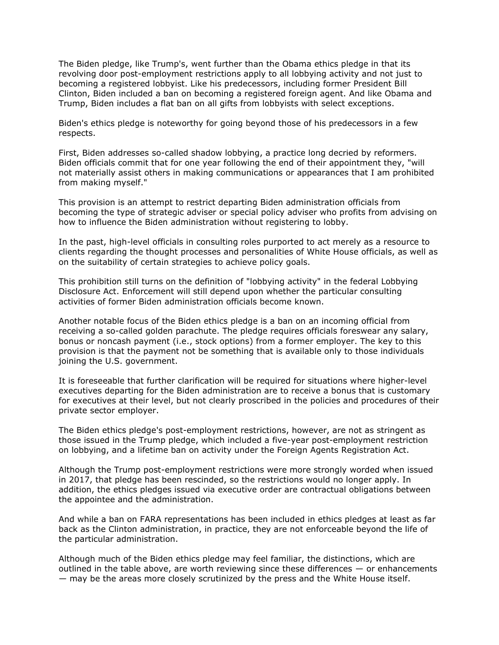The Biden pledge, like Trump's, went further than the Obama ethics pledge in that its revolving door post-employment restrictions apply to all lobbying activity and not just to becoming a registered lobbyist. Like his predecessors, including former President Bill Clinton, Biden included a ban on becoming a registered foreign agent. And like Obama and Trump, Biden includes a flat ban on all gifts from lobbyists with select exceptions.

Biden's ethics pledge is noteworthy for going beyond those of his predecessors in a few respects.

First, Biden addresses so-called shadow lobbying, a practice long decried by reformers. Biden officials commit that for one year following the end of their appointment they, "will not materially assist others in making communications or appearances that I am prohibited from making myself."

This provision is an attempt to restrict departing Biden administration officials from becoming the type of strategic adviser or special policy adviser who profits from advising on how to influence the Biden administration without registering to lobby.

In the past, high-level officials in consulting roles purported to act merely as a resource to clients regarding the thought processes and personalities of White House officials, as well as on the suitability of certain strategies to achieve policy goals.

This prohibition still turns on the definition of "lobbying activity" in the federal Lobbying Disclosure Act. Enforcement will still depend upon whether the particular consulting activities of former Biden administration officials become known.

Another notable focus of the Biden ethics pledge is a ban on an incoming official from receiving a so-called golden parachute. The pledge requires officials foreswear any salary, bonus or noncash payment (i.e., stock options) from a former employer. The key to this provision is that the payment not be something that is available only to those individuals joining the U.S. government.

It is foreseeable that further clarification will be required for situations where higher-level executives departing for the Biden administration are to receive a bonus that is customary for executives at their level, but not clearly proscribed in the policies and procedures of their private sector employer.

The Biden ethics pledge's post-employment restrictions, however, are not as stringent as those issued in the Trump pledge, which included a five-year post-employment restriction on lobbying, and a lifetime ban on activity under the Foreign Agents Registration Act.

Although the Trump post-employment restrictions were more strongly worded when issued in 2017, that pledge has been rescinded, so the restrictions would no longer apply. In addition, the ethics pledges issued via executive order are contractual obligations between the appointee and the administration.

And while a ban on FARA representations has been included in ethics pledges at least as far back as the Clinton administration, in practice, they are not enforceable beyond the life of the particular administration.

Although much of the Biden ethics pledge may feel familiar, the distinctions, which are outlined in the table above, are worth reviewing since these differences — or enhancements — may be the areas more closely scrutinized by the press and the White House itself.